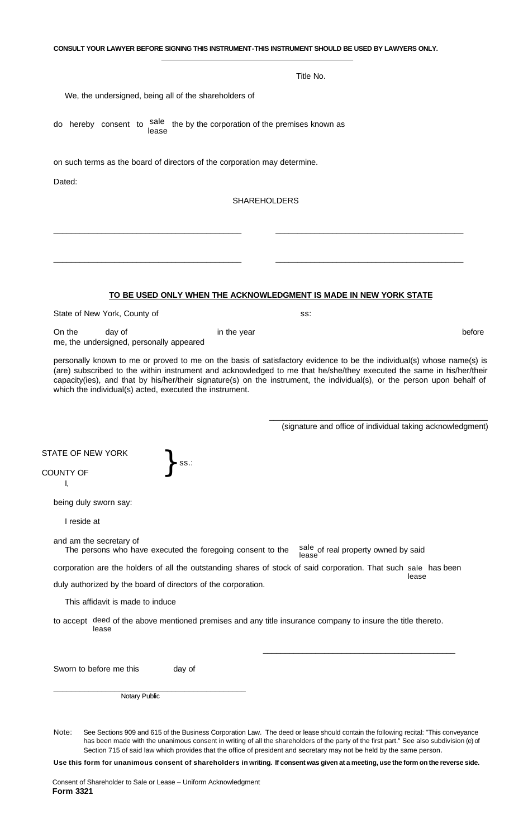|                                                                                                                                                                                                                                                                                                                                                                                | Title No.                                                         |        |
|--------------------------------------------------------------------------------------------------------------------------------------------------------------------------------------------------------------------------------------------------------------------------------------------------------------------------------------------------------------------------------|-------------------------------------------------------------------|--------|
| We, the undersigned, being all of the shareholders of                                                                                                                                                                                                                                                                                                                          |                                                                   |        |
| sale<br>the by the corporation of the premises known as<br>hereby consent to<br>do<br>lease                                                                                                                                                                                                                                                                                    |                                                                   |        |
| on such terms as the board of directors of the corporation may determine.<br>Dated:                                                                                                                                                                                                                                                                                            |                                                                   |        |
|                                                                                                                                                                                                                                                                                                                                                                                | <b>SHAREHOLDERS</b>                                               |        |
|                                                                                                                                                                                                                                                                                                                                                                                |                                                                   |        |
|                                                                                                                                                                                                                                                                                                                                                                                |                                                                   |        |
|                                                                                                                                                                                                                                                                                                                                                                                |                                                                   |        |
|                                                                                                                                                                                                                                                                                                                                                                                |                                                                   |        |
|                                                                                                                                                                                                                                                                                                                                                                                | TO BE USED ONLY WHEN THE ACKNOWLEDGMENT IS MADE IN NEW YORK STATE |        |
| State of New York, County of                                                                                                                                                                                                                                                                                                                                                   | SS:                                                               |        |
| On the<br>day of<br>in the year<br>me, the undersigned, personally appeared                                                                                                                                                                                                                                                                                                    |                                                                   | before |
| personally known to me or proved to me on the basis of satisfactory evidence to be the individual(s) whose name(s) is                                                                                                                                                                                                                                                          |                                                                   |        |
| (are) subscribed to the within instrument and acknowledged to me that he/she/they executed the same in his/her/their<br>capacity(ies), and that by his/her/their signature(s) on the instrument, the individual(s), or the person upon behalf of<br>which the individual(s) acted, executed the instrument.                                                                    |                                                                   |        |
|                                                                                                                                                                                                                                                                                                                                                                                | (signature and office of individual taking acknowledgment)        |        |
|                                                                                                                                                                                                                                                                                                                                                                                |                                                                   |        |
| ss.:<br>т,                                                                                                                                                                                                                                                                                                                                                                     |                                                                   |        |
|                                                                                                                                                                                                                                                                                                                                                                                |                                                                   |        |
| I reside at                                                                                                                                                                                                                                                                                                                                                                    |                                                                   |        |
| The persons who have executed the foregoing consent to the                                                                                                                                                                                                                                                                                                                     |                                                                   |        |
|                                                                                                                                                                                                                                                                                                                                                                                | sale of real property owned by said<br>lease                      |        |
| duly authorized by the board of directors of the corporation.                                                                                                                                                                                                                                                                                                                  | lease                                                             |        |
| This affidavit is made to induce                                                                                                                                                                                                                                                                                                                                               |                                                                   |        |
| lease                                                                                                                                                                                                                                                                                                                                                                          |                                                                   |        |
| day of                                                                                                                                                                                                                                                                                                                                                                         |                                                                   |        |
| <b>STATE OF NEW YORK</b><br>COUNTY OF<br>being duly sworn say:<br>and am the secretary of<br>corporation are the holders of all the outstanding shares of stock of said corporation. That such sale has been<br>to accept deed of the above mentioned premises and any title insurance company to insure the title thereto.<br>Sworn to before me this<br><b>Notary Public</b> |                                                                   |        |

**Use this form for unanimous consent of shareholders in writing. If consent was given at a meeting, use the form on the reverse side.**